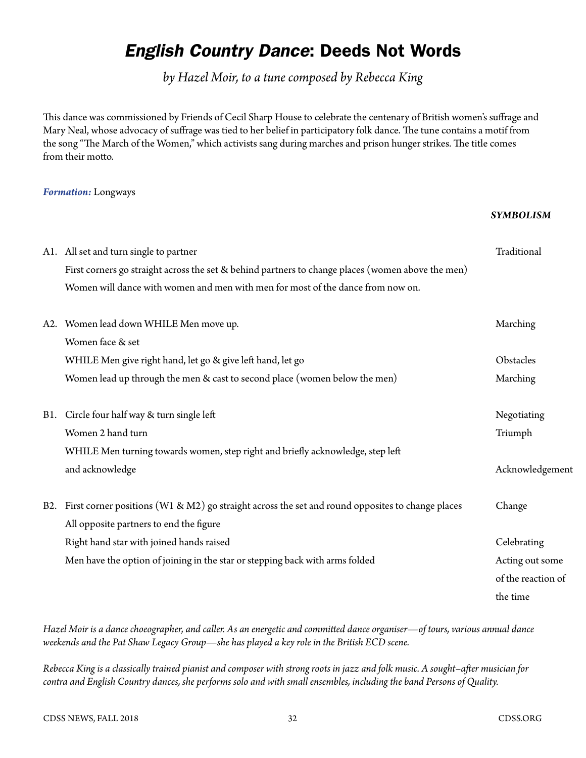## *English Country Dance*: Deeds Not Words

*by Hazel Moir, to a tune composed by Rebecca King*

This dance was commissioned by Friends of Cecil Sharp House to celebrate the centenary of British women's suffrage and Mary Neal, whose advocacy of suffrage was tied to her belief in participatory folk dance. The tune contains a motif from the song "The March of the Women," which activists sang during marches and prison hunger strikes. The title comes from their motto.

## *Formation:* Longways

## *SYMBOLISM*

|  | A1. All set and turn single to partner                                                               | Traditional        |
|--|------------------------------------------------------------------------------------------------------|--------------------|
|  | First corners go straight across the set & behind partners to change places (women above the men)    |                    |
|  | Women will dance with women and men with men for most of the dance from now on.                      |                    |
|  | A2. Women lead down WHILE Men move up.                                                               | Marching           |
|  | Women face & set                                                                                     |                    |
|  | WHILE Men give right hand, let go & give left hand, let go                                           | Obstacles          |
|  | Women lead up through the men & cast to second place (women below the men)                           | Marching           |
|  | B1. Circle four half way & turn single left                                                          | Negotiating        |
|  | Women 2 hand turn                                                                                    | Triumph            |
|  | WHILE Men turning towards women, step right and briefly acknowledge, step left                       |                    |
|  | and acknowledge                                                                                      | Acknowledgement    |
|  | B2. First corner positions (W1 & M2) go straight across the set and round opposites to change places | Change             |
|  | All opposite partners to end the figure                                                              |                    |
|  | Right hand star with joined hands raised                                                             | Celebrating        |
|  | Men have the option of joining in the star or stepping back with arms folded                         | Acting out some    |
|  |                                                                                                      | of the reaction of |
|  |                                                                                                      | the time           |
|  |                                                                                                      |                    |

*Hazel Moir is a dance choeographer, and caller. As an energetic and committed dance organiser—of tours, various annual dance weekends and the Pat Shaw Legacy Group—she has played a key role in the British ECD scene.* 

*Rebecca King is a classically trained pianist and composer with strong roots in jazz and folk music. A sought–after musician for contra and English Country dances, she performs solo and with small ensembles, including the band Persons of Quality.*